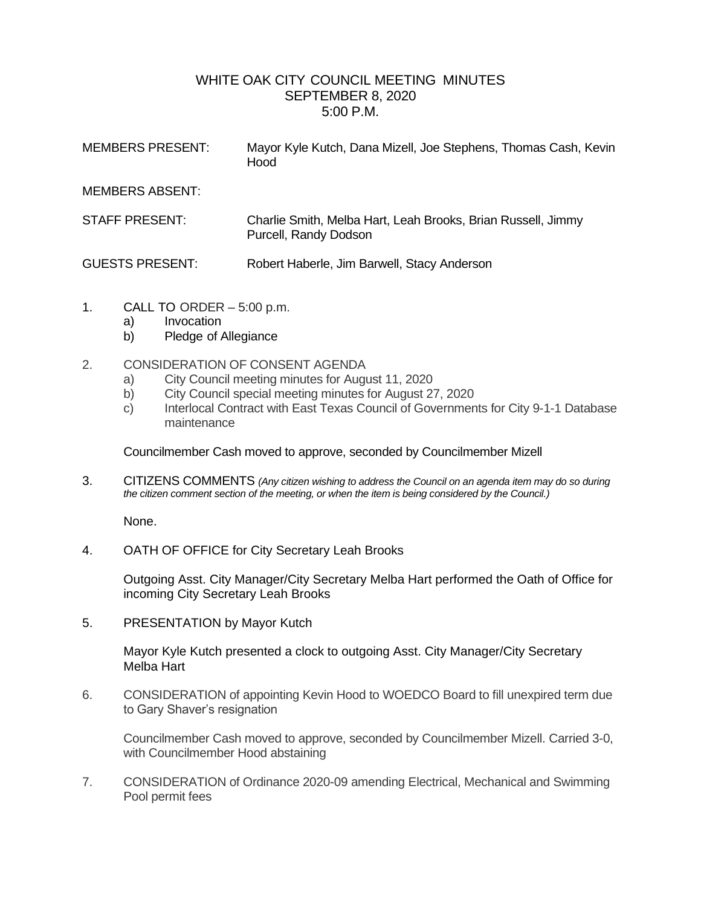## WHITE OAK CITY COUNCIL MEETING MINUTES SEPTEMBER 8, 2020 5:00 P.M.

| <b>MEMBERS PRESENT:</b> | Mayor Kyle Kutch, Dana Mizell, Joe Stephens, Thomas Cash, Kevin<br>Hood               |
|-------------------------|---------------------------------------------------------------------------------------|
| <b>MEMBERS ABSENT:</b>  |                                                                                       |
| <b>STAFF PRESENT:</b>   | Charlie Smith, Melba Hart, Leah Brooks, Brian Russell, Jimmy<br>Purcell, Randy Dodson |
| <b>GUESTS PRESENT:</b>  | Robert Haberle, Jim Barwell, Stacy Anderson                                           |

- 1. CALL TO ORDER 5:00 p.m.
	- a) Invocation
	- b) Pledge of Allegiance
- 2. CONSIDERATION OF CONSENT AGENDA
	- a) City Council meeting minutes for August 11, 2020
	- b) City Council special meeting minutes for August 27, 2020
	- c) Interlocal Contract with East Texas Council of Governments for City 9-1-1 Database maintenance

Councilmember Cash moved to approve, seconded by Councilmember Mizell

3. CITIZENS COMMENTS *(Any citizen wishing to address the Council on an agenda item may do so during the citizen comment section of the meeting, or when the item is being considered by the Council.)*

None.

4. OATH OF OFFICE for City Secretary Leah Brooks

Outgoing Asst. City Manager/City Secretary Melba Hart performed the Oath of Office for incoming City Secretary Leah Brooks

5. PRESENTATION by Mayor Kutch

Mayor Kyle Kutch presented a clock to outgoing Asst. City Manager/City Secretary Melba Hart

6. CONSIDERATION of appointing Kevin Hood to WOEDCO Board to fill unexpired term due to Gary Shaver's resignation

Councilmember Cash moved to approve, seconded by Councilmember Mizell. Carried 3-0, with Councilmember Hood abstaining

7. CONSIDERATION of Ordinance 2020-09 amending Electrical, Mechanical and Swimming Pool permit fees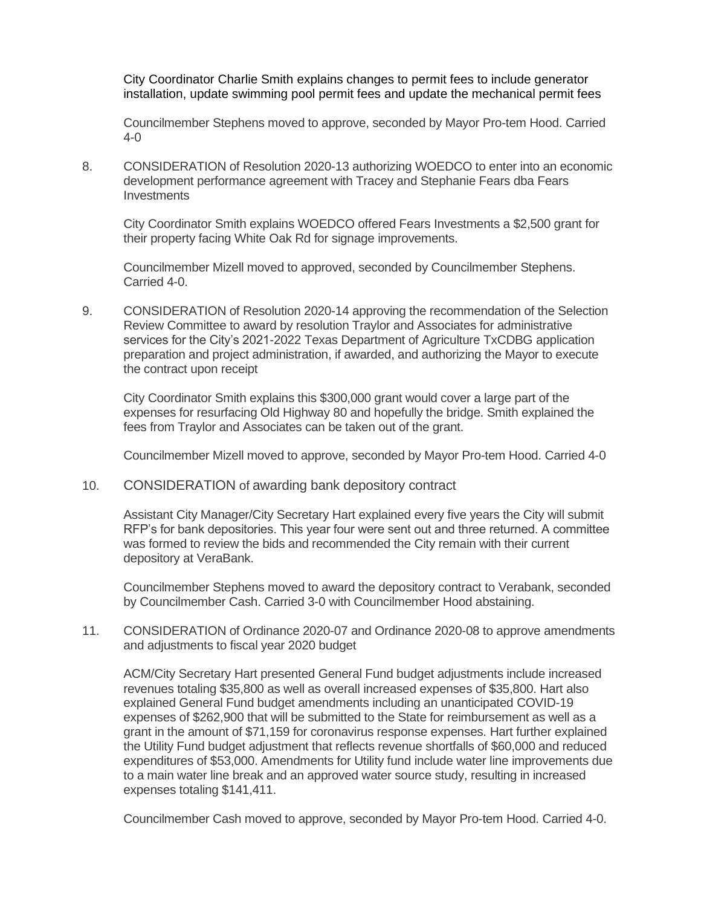City Coordinator Charlie Smith explains changes to permit fees to include generator installation, update swimming pool permit fees and update the mechanical permit fees

Councilmember Stephens moved to approve, seconded by Mayor Pro-tem Hood. Carried 4-0

8. CONSIDERATION of Resolution 2020-13 authorizing WOEDCO to enter into an economic development performance agreement with Tracey and Stephanie Fears dba Fears **Investments** 

City Coordinator Smith explains WOEDCO offered Fears Investments a \$2,500 grant for their property facing White Oak Rd for signage improvements.

Councilmember Mizell moved to approved, seconded by Councilmember Stephens. Carried 4-0.

9. CONSIDERATION of Resolution 2020-14 approving the recommendation of the Selection Review Committee to award by resolution Traylor and Associates for administrative services for the City's 2021-2022 Texas Department of Agriculture TxCDBG application preparation and project administration, if awarded, and authorizing the Mayor to execute the contract upon receipt

City Coordinator Smith explains this \$300,000 grant would cover a large part of the expenses for resurfacing Old Highway 80 and hopefully the bridge. Smith explained the fees from Traylor and Associates can be taken out of the grant.

Councilmember Mizell moved to approve, seconded by Mayor Pro-tem Hood. Carried 4-0

10. CONSIDERATION of awarding bank depository contract

Assistant City Manager/City Secretary Hart explained every five years the City will submit RFP's for bank depositories. This year four were sent out and three returned. A committee was formed to review the bids and recommended the City remain with their current depository at VeraBank.

Councilmember Stephens moved to award the depository contract to Verabank, seconded by Councilmember Cash. Carried 3-0 with Councilmember Hood abstaining.

11. CONSIDERATION of Ordinance 2020-07 and Ordinance 2020-08 to approve amendments and adjustments to fiscal year 2020 budget

ACM/City Secretary Hart presented General Fund budget adjustments include increased revenues totaling \$35,800 as well as overall increased expenses of \$35,800. Hart also explained General Fund budget amendments including an unanticipated COVID-19 expenses of \$262,900 that will be submitted to the State for reimbursement as well as a grant in the amount of \$71,159 for coronavirus response expenses. Hart further explained the Utility Fund budget adjustment that reflects revenue shortfalls of \$60,000 and reduced expenditures of \$53,000. Amendments for Utility fund include water line improvements due to a main water line break and an approved water source study, resulting in increased expenses totaling \$141,411.

Councilmember Cash moved to approve, seconded by Mayor Pro-tem Hood. Carried 4-0.